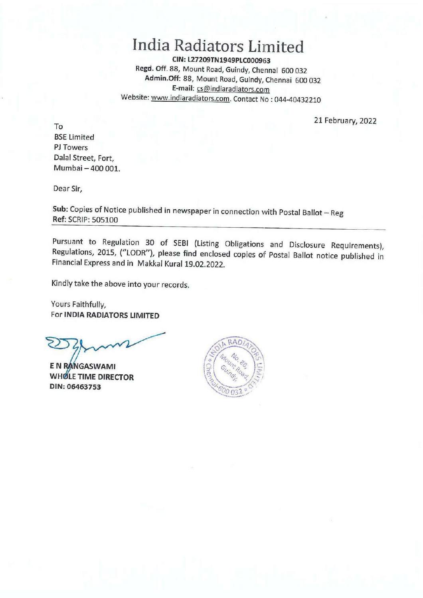# **India Radiators Limited**

**CIN:L27209TN1949PLC000963 Regd. Off.** 88, Mount Road, Guindy, Chennai 600 032 **Admin.Off:** 88, Mount Road, Guindy, Chennai 600 032 **E-mail:** cs@indiaradiators.com Website: www.indiaradiators.com. Contact No : 044-40432210

21 February, 2022

To BSE Limited PJ Towers Dalal Street, Fort, Mumbai - 400 001.

Dear Sir,

Sub: Copies of Notice published in newspaper in connection with Postal Ballot - Reg **Ref:** SCRIP: 505100

Pursuant to Regulation 30 of SEBI (Listing Obligations and Disclosure Requirements), Regulations, 2015, ("LODR"), please find enclosed copies of Postal Ballot notice published in Financial Express and in Makkal Kural 19.02.2022.

Kindly take the above into your records.

Yours Faithfully, For **INDIA RADIATORS LIMITED** 

E N RANGASWAMI **WHOLE TIME DIRECTOR DIN:06463753** 

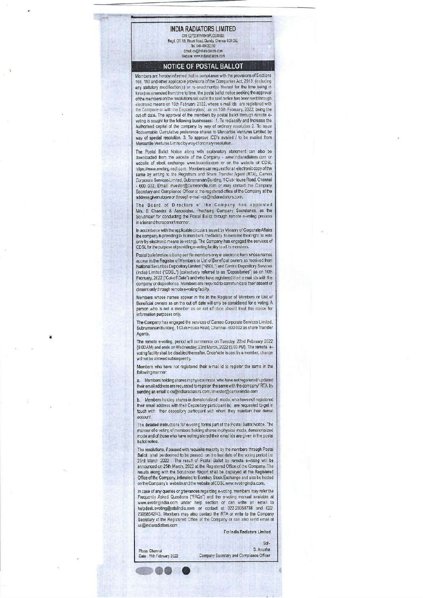### **INDIA RADIATORS LIMITED**

CIN: L27209TN1949PLC000963 Regd. Off. 88, Mount Road, Guindy, Chennai 600 032. Tel: 044 -40432210 Email: cs@indiaradia tors com Website: www.indiaradiators.corm

#### **NOTICE OF POSTAL BALLOT**

Members are hereby informed that in compliance with the provisions of Sections 108, 110 and other applicable provisions of Iha Companies Act, 2013, (including any statutory modification(s) or re-enactment(s) thereof for the time being in force) as amended from time to time, the postal ballot notice seeking the approval of the members on the resolutions set out in the said notice has been sent through electronic means on 18th February 2022, whose e-mail ids are registered with the Company or with the Depository(ies) as on 16th February, 2022, being the cut-off date. The approval of the members by postal ballot through remote evoling is sought for the following businesses: 1. To reclassify and Increase the Authorised capital of the company by way of ordinary resolution 2. To issue Redeemable Cumulative preference shares to Mercantile Ventures Limited by way of special resolution. 3. To approve ICD's availed / to be availed from Mercantile Ventures Limited byway of ordinary resolution.

The Postal Ballot Notice along with explanatory statement can also be downloaded from the website of the Company- www.indiaradiators.com or website of stock exchange www.bseindia.com or on the website of COSL https://www.evoting.nsdl.com. Members can request for an electronic copy of the same by writing to the Registrars and Share Transfer Agent (RTA), Cameo Corporate Services Limited, Subramanian Building, 1 Club House Road, Chennai - 600 002, Email: investor@cameoindia.com or may contact the Company Secretary and Compliance Officer at the registered office of the Company at the address given above or through e-mail- cs@indiaradiators.com.

The Board of Directors of the Company has appointed Mis. B Chandra & Associates, Practising Company Secretaries, as the Scrutinizer for conducting the Postal Ballot through remote e-voting process in a fair and transparent manner.

In accordance with the applicable circulars issued by Ministry of Corporate Affairs the company is providing to its members the facility to exercise their right to vote only by electronic means (e-voting). The Company has engaged the services of COSLforthe purpose of providing e-voting facility to all its members.

Postal ballot notice is being sent to members only in electronic form whose names appear in the Register of Members or List of Beneficial owners as received from National Securities Depository Limited ("NSDL") and Central Depository Services (India) Limited ('CDSL") (collectively referred to as 'Depositories") as on 16th February, 2022 ("Cut-off Date") and who have registered their e mail ids with the company or depositories. Members are required to communicate their assent or dissent only through remote e-voting facility.

Members whose names appear in the in the Register of Members or Lisi of Beneficial owners as on the cut off date will only be considered fore voting. A person who is not a member as on cul off date should treat this notice for information purposes only.

The Company has engaged the services of Cameo Corporate Services Limited, Subramanian Building, 1 Club House Road, Chennai - 600 002 as share Transfer Agents.

The remote e-voting, period will commence on Tuesday, 22nd February 2022 (9.00 AM) and ends on Wednesday, 23rd March, 2022 (5.00 PM). The remote evoting facility shall be disabled thereafter. Once Vote is cast by a member, change will not be allowed subsequently.

Members who have not registered their e-mail id to register the same in the following manner:

a. Members holding shares in physical mode who have not registered/ updated their email address are requested to register the same with the company/ RTA by sending an email to cs@indiaradiators.com / investor@cameoindia.com

b. Members holding shares in dematerialized mode, who have not registered their email address with their Depository participant (s) are requested to get in touch with their depository participant with whom they maintain their demat account.

The detailed instructions fore-voting forms part of the Postal Ballot Notice. The manner of e-voting of members holding shares in physical mode, dematerialized mode and of those who have not registered their email ids are given in the postal ballot notice.

The resolutions, if passed with requisite majority by the members through Postal Ballot shall be deemed to be passed on the last date of the voting period i.e. 23rd March 2022 . The result of Postal Ballot by remote a-voting will be announced on 25th March, 2022 at the Registered Office of the Company. The results along with the Scrutinizer Report shall be displayed at the Registered Office of the Company, intimated to Bombay Stock Exchange and also be hosted on the Company's website and the website of CDSL www.evotingindia.com.

In case of any queries or grievances regarding e-voting, members may refer the Frequently Asked Questions ("FAQs") and the a-voting manual available at www.evotingindia.com under help section or can write an email to helpdesk.evofing@cdslindia.com or contact at 022-23058738 and 022- 23058542/43. Members may also contact the RTA or write to the Company Secretary at the Registered Office of the Company or can also send email at cs @indiaradiators.com

For India Radiators Limited

Place: Chennai

Sd/-<br>S. Anusha Date : 11th February 2022 Company Secretary and Compliance Officer